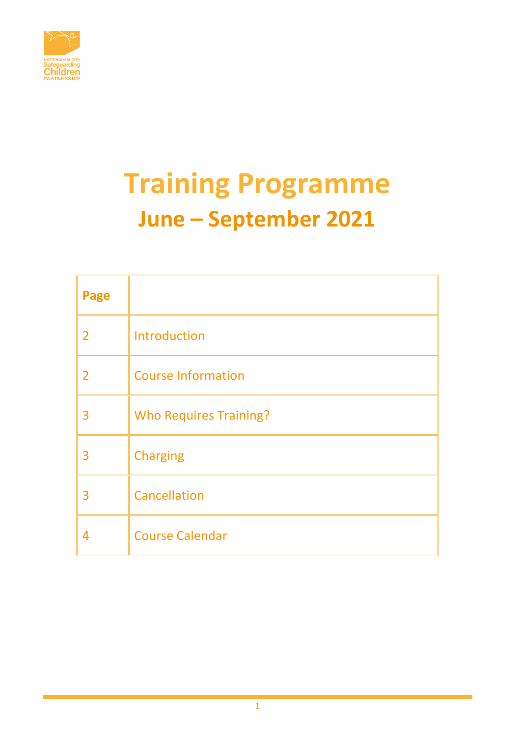

# **Training Programme June – September 2021**

| Page           |                               |
|----------------|-------------------------------|
| $\overline{2}$ | Introduction                  |
| 2              | <b>Course Information</b>     |
| 3              | <b>Who Requires Training?</b> |
| 3              | <b>Charging</b>               |
| 3              | Cancellation                  |
| 4              | <b>Course Calendar</b>        |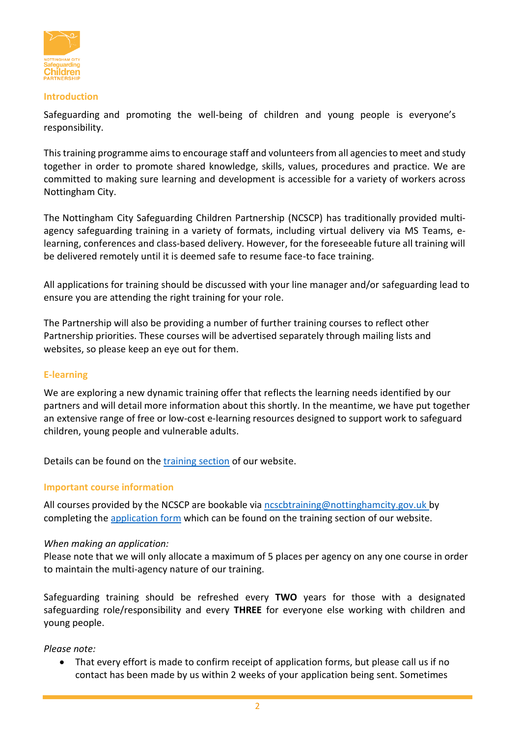

#### **Introduction**

Safeguarding and promoting the well-being of children and young people is everyone's responsibility.

This training programme aims to encourage staff and volunteers from all agencies to meet and study together in order to promote shared knowledge, skills, values, procedures and practice. We are committed to making sure learning and development is accessible for a variety of workers across Nottingham City.

The Nottingham City Safeguarding Children Partnership (NCSCP) has traditionally provided multiagency safeguarding training in a variety of formats, including virtual delivery via MS Teams, elearning, conferences and class-based delivery. However, for the foreseeable future all training will be delivered remotely until it is deemed safe to resume face-to face training.

All applications for training should be discussed with your line manager and/or safeguarding lead to ensure you are attending the right training for your role.

The Partnership will also be providing a number of further training courses to reflect other Partnership priorities. These courses will be advertised separately through mailing lists and websites, so please keep an eye out for them.

## **E-learning**

We are exploring a new dynamic training offer that reflects the learning needs identified by our partners and will detail more information about this shortly. In the meantime, we have put together an extensive range of free or low-cost e-learning resources designed to support work to safeguard children, young people and vulnerable adults.

Details can be found on the **training section** of our website.

#### **Important course information**

All courses provided by the NCSCP are bookable via [ncscbtraining@nottinghamcity.gov.uk](mailto:ncscbtraining@nottinghamcity.gov.uk) by completing the [application form](https://documents.nottinghamcity.gov.uk/download/3131) which can be found on the training section of our website.

#### *When making an application:*

Please note that we will only allocate a maximum of 5 places per agency on any one course in order to maintain the multi-agency nature of our training.

Safeguarding training should be refreshed every **TWO** years for those with a designated safeguarding role/responsibility and every **THREE** for everyone else working with children and young people.

#### *Please note:*

 That every effort is made to confirm receipt of application forms, but please call us if no contact has been made by us within 2 weeks of your application being sent. Sometimes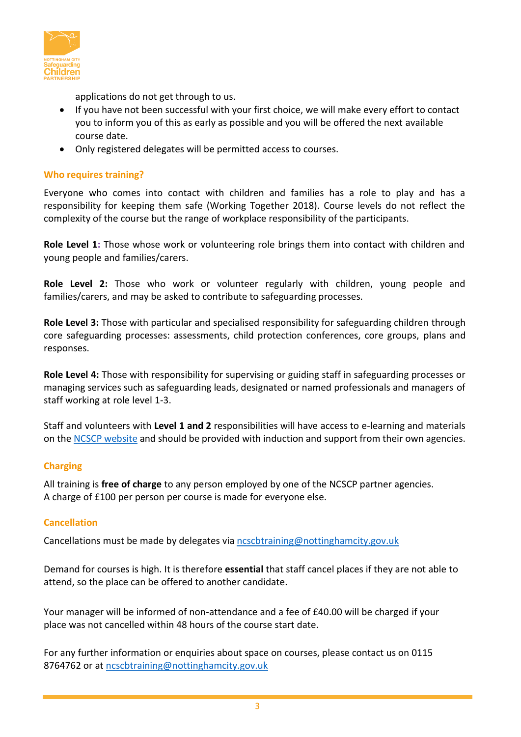

applications do not get through to us.

- If you have not been successful with your first choice, we will make every effort to contact you to inform you of this as early as possible and you will be offered the next available course date.
- Only registered delegates will be permitted access to courses.

### **Who requires training?**

Everyone who comes into contact with children and families has a role to play and has a responsibility for keeping them safe (Working Together 2018). Course levels do not reflect the complexity of the course but the range of workplace responsibility of the participants.

**Role Level 1:** Those whose work or volunteering role brings them into contact with children and young people and families/carers.

**Role Level 2:** Those who work or volunteer regularly with children, young people and families/carers, and may be asked to contribute to safeguarding processes.

**Role Level 3:** Those with particular and specialised responsibility for safeguarding children through core safeguarding processes: assessments, child protection conferences, core groups, plans and responses.

**Role Level 4:** Those with responsibility for supervising or guiding staff in safeguarding processes or managing services such as safeguarding leads, designated or named professionals and managers of staff working at role level 1-3.

Staff and volunteers with **Level 1 and 2** responsibilities will have access to e-learning and materials on the [NCSCP website](https://www.nottinghamcity.gov.uk/information-for-residents/children-and-families/nottingham-city-safeguarding-children-board/safeguarding-training/e-learning/) and should be provided with induction and support from their own agencies.

#### **Charging**

All training is **free of charge** to any person employed by one of the NCSCP partner agencies. A charge of £100 per person per course is made for everyone else.

#### **Cancellation**

Cancellations must be made by delegates via [ncscbtraining@nottinghamcity.gov.uk](mailto:ncscbtraining@nottinghamcity.gov.uk)

Demand for courses is high. It is therefore **essential** that staff cancel places if they are not able to attend, so the place can be offered to another candidate.

Your manager will be informed of non-attendance and a fee of £40.00 will be charged if your place was not cancelled within 48 hours of the course start date.

For any further information or enquiries about space on courses, please contact us on 0115 8764762 or at [ncscbtraining@nottinghamcity.gov.uk](mailto:ncscbtraining@nottinghamcity.gov.uk)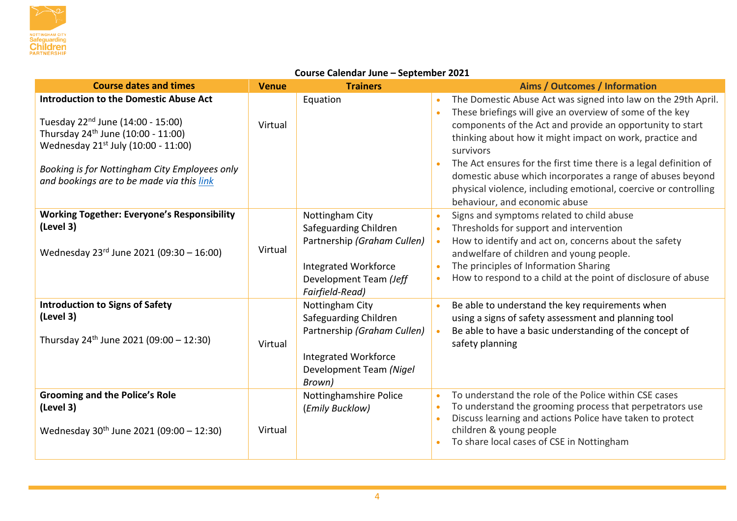

# **Course Calendar June – September 2021**

| <b>Course dates and times</b>                                                                                                                                                                                                                                                                     | <b>Venue</b> | <b>Trainers</b>                                                                                                                              | Aims / Outcomes / Information                                                                                                                                                                                                                                                                                                                                                                                                                                                                          |
|---------------------------------------------------------------------------------------------------------------------------------------------------------------------------------------------------------------------------------------------------------------------------------------------------|--------------|----------------------------------------------------------------------------------------------------------------------------------------------|--------------------------------------------------------------------------------------------------------------------------------------------------------------------------------------------------------------------------------------------------------------------------------------------------------------------------------------------------------------------------------------------------------------------------------------------------------------------------------------------------------|
| <b>Introduction to the Domestic Abuse Act</b><br>Tuesday 22 <sup>nd</sup> June (14:00 - 15:00)<br>Thursday 24 <sup>th</sup> June (10:00 - 11:00)<br>Wednesday 21 <sup>st</sup> July (10:00 - 11:00)<br>Booking is for Nottingham City Employees only<br>and bookings are to be made via this link | Virtual      | Equation                                                                                                                                     | The Domestic Abuse Act was signed into law on the 29th April.<br>These briefings will give an overview of some of the key<br>components of the Act and provide an opportunity to start<br>thinking about how it might impact on work, practice and<br>survivors<br>The Act ensures for the first time there is a legal definition of<br>domestic abuse which incorporates a range of abuses beyond<br>physical violence, including emotional, coercive or controlling<br>behaviour, and economic abuse |
| <b>Working Together: Everyone's Responsibility</b><br>(Level 3)<br>Wednesday 23rd June 2021 (09:30 - 16:00)                                                                                                                                                                                       | Virtual      | Nottingham City<br>Safeguarding Children<br>Partnership (Graham Cullen)<br>Integrated Workforce<br>Development Team (Jeff<br>Fairfield-Read) | Signs and symptoms related to child abuse<br>Thresholds for support and intervention<br>How to identify and act on, concerns about the safety<br>andwelfare of children and young people.<br>The principles of Information Sharing<br>How to respond to a child at the point of disclosure of abuse                                                                                                                                                                                                    |
| <b>Introduction to Signs of Safety</b><br>(Level 3)<br>Thursday $24^{th}$ June $2021$ (09:00 - 12:30)                                                                                                                                                                                             | Virtual      | Nottingham City<br>Safeguarding Children<br>Partnership (Graham Cullen)<br>Integrated Workforce<br>Development Team (Nigel<br>Brown)         | Be able to understand the key requirements when<br>using a signs of safety assessment and planning tool<br>Be able to have a basic understanding of the concept of<br>safety planning                                                                                                                                                                                                                                                                                                                  |
| <b>Grooming and the Police's Role</b><br>(Level 3)<br>Wednesday $30^{th}$ June 2021 (09:00 - 12:30)                                                                                                                                                                                               | Virtual      | Nottinghamshire Police<br>(Emily Bucklow)                                                                                                    | To understand the role of the Police within CSE cases<br>To understand the grooming process that perpetrators use<br>Discuss learning and actions Police have taken to protect<br>children & young people<br>To share local cases of CSE in Nottingham                                                                                                                                                                                                                                                 |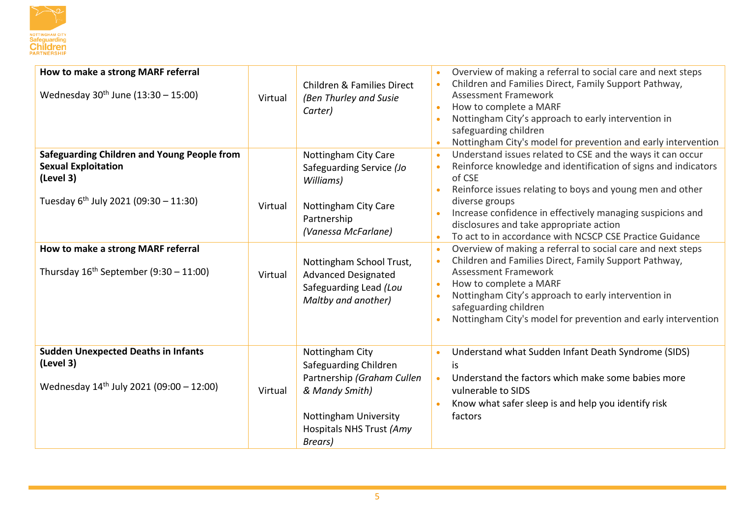

| How to make a strong MARF referral<br>Wednesday $30^{th}$ June (13:30 – 15:00)                                                              | Virtual | Children & Families Direct<br>(Ben Thurley and Susie<br>Carter)                                                                                          | Overview of making a referral to social care and next steps<br>Children and Families Direct, Family Support Pathway,<br>Assessment Framework<br>How to complete a MARF<br>Nottingham City's approach to early intervention in<br>safeguarding children<br>Nottingham City's model for prevention and early intervention                                                                                              |
|---------------------------------------------------------------------------------------------------------------------------------------------|---------|----------------------------------------------------------------------------------------------------------------------------------------------------------|----------------------------------------------------------------------------------------------------------------------------------------------------------------------------------------------------------------------------------------------------------------------------------------------------------------------------------------------------------------------------------------------------------------------|
| <b>Safeguarding Children and Young People from</b><br><b>Sexual Exploitation</b><br>(Level 3)<br>Tuesday $6^{th}$ July 2021 (09:30 - 11:30) | Virtual | Nottingham City Care<br>Safeguarding Service (Jo<br>Williams)<br>Nottingham City Care<br>Partnership<br>(Vanessa McFarlane)                              | Understand issues related to CSE and the ways it can occur<br>$\bullet$<br>Reinforce knowledge and identification of signs and indicators<br>of CSE<br>Reinforce issues relating to boys and young men and other<br>$\bullet$<br>diverse groups<br>Increase confidence in effectively managing suspicions and<br>disclosures and take appropriate action<br>To act to in accordance with NCSCP CSE Practice Guidance |
| How to make a strong MARF referral<br>Thursday $16^{th}$ September (9:30 – 11:00)                                                           | Virtual | Nottingham School Trust,<br><b>Advanced Designated</b><br>Safeguarding Lead (Lou<br>Maltby and another)                                                  | Overview of making a referral to social care and next steps<br>$\bullet$<br>Children and Families Direct, Family Support Pathway,<br><b>Assessment Framework</b><br>How to complete a MARF<br>$\bullet$<br>Nottingham City's approach to early intervention in<br>safeguarding children<br>Nottingham City's model for prevention and early intervention                                                             |
| <b>Sudden Unexpected Deaths in Infants</b><br>(Level 3)<br>Wednesday 14 <sup>th</sup> July 2021 (09:00 - 12:00)                             | Virtual | Nottingham City<br>Safeguarding Children<br>Partnership (Graham Cullen<br>& Mandy Smith)<br>Nottingham University<br>Hospitals NHS Trust (Amy<br>Brears) | Understand what Sudden Infant Death Syndrome (SIDS)<br>$\bullet$<br>is.<br>Understand the factors which make some babies more<br>$\bullet$<br>vulnerable to SIDS<br>Know what safer sleep is and help you identify risk<br>factors                                                                                                                                                                                   |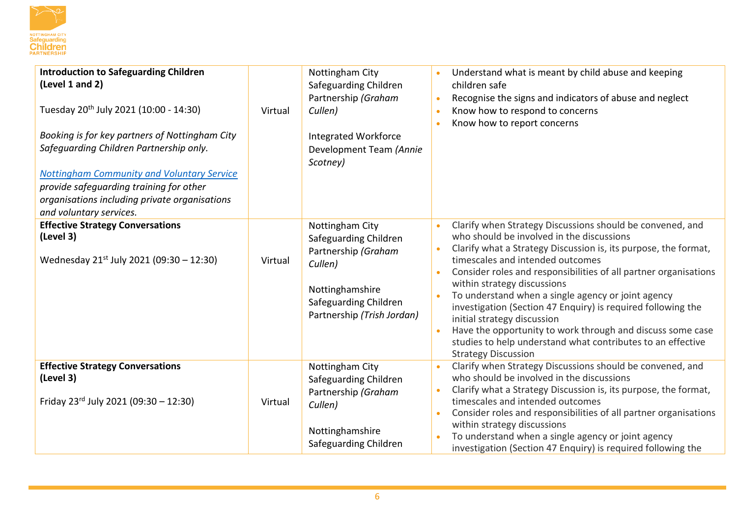

| <b>Introduction to Safeguarding Children</b><br>(Level 1 and 2)<br>Tuesday 20 <sup>th</sup> July 2021 (10:00 - 14:30)<br>Booking is for key partners of Nottingham City<br>Safequarding Children Partnership only.<br><b>Nottingham Community and Voluntary Service</b><br>provide safeguarding training for other<br>organisations including private organisations<br>and voluntary services. | Virtual | Nottingham City<br>Safeguarding Children<br>Partnership (Graham<br>Cullen)<br><b>Integrated Workforce</b><br>Development Team (Annie<br>Scotney)     | Understand what is meant by child abuse and keeping<br>children safe<br>Recognise the signs and indicators of abuse and neglect<br>Know how to respond to concerns<br>Know how to report concerns                                                                                                                                                                                                                                                                                                                                                                                                                                |
|------------------------------------------------------------------------------------------------------------------------------------------------------------------------------------------------------------------------------------------------------------------------------------------------------------------------------------------------------------------------------------------------|---------|------------------------------------------------------------------------------------------------------------------------------------------------------|----------------------------------------------------------------------------------------------------------------------------------------------------------------------------------------------------------------------------------------------------------------------------------------------------------------------------------------------------------------------------------------------------------------------------------------------------------------------------------------------------------------------------------------------------------------------------------------------------------------------------------|
| <b>Effective Strategy Conversations</b><br>(Level 3)<br>Wednesday 21 <sup>st</sup> July 2021 (09:30 - 12:30)                                                                                                                                                                                                                                                                                   | Virtual | Nottingham City<br>Safeguarding Children<br>Partnership (Graham<br>Cullen)<br>Nottinghamshire<br>Safeguarding Children<br>Partnership (Trish Jordan) | Clarify when Strategy Discussions should be convened, and<br>who should be involved in the discussions<br>Clarify what a Strategy Discussion is, its purpose, the format,<br>timescales and intended outcomes<br>Consider roles and responsibilities of all partner organisations<br>within strategy discussions<br>To understand when a single agency or joint agency<br>investigation (Section 47 Enquiry) is required following the<br>initial strategy discussion<br>Have the opportunity to work through and discuss some case<br>studies to help understand what contributes to an effective<br><b>Strategy Discussion</b> |
| <b>Effective Strategy Conversations</b><br>(Level 3)<br>Friday $23^{rd}$ July 2021 (09:30 - 12:30)                                                                                                                                                                                                                                                                                             | Virtual | Nottingham City<br>Safeguarding Children<br>Partnership (Graham<br>Cullen)<br>Nottinghamshire<br>Safeguarding Children                               | Clarify when Strategy Discussions should be convened, and<br>who should be involved in the discussions<br>Clarify what a Strategy Discussion is, its purpose, the format,<br>timescales and intended outcomes<br>Consider roles and responsibilities of all partner organisations<br>within strategy discussions<br>To understand when a single agency or joint agency<br>investigation (Section 47 Enquiry) is required following the                                                                                                                                                                                           |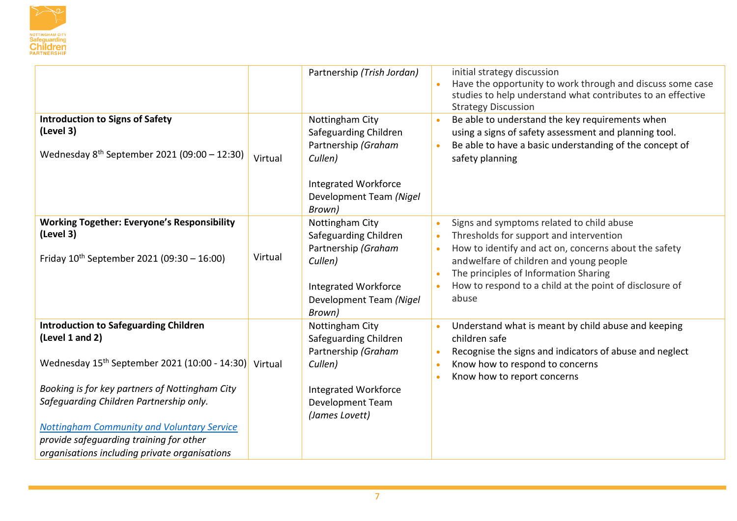

|                                                                                                                                                                                                                                                                                                                         |         | Partnership (Trish Jordan)                                                                                                                             | initial strategy discussion<br>Have the opportunity to work through and discuss some case<br>studies to help understand what contributes to an effective<br><b>Strategy Discussion</b>                                                                                                                |
|-------------------------------------------------------------------------------------------------------------------------------------------------------------------------------------------------------------------------------------------------------------------------------------------------------------------------|---------|--------------------------------------------------------------------------------------------------------------------------------------------------------|-------------------------------------------------------------------------------------------------------------------------------------------------------------------------------------------------------------------------------------------------------------------------------------------------------|
| <b>Introduction to Signs of Safety</b><br>(Level 3)<br>Wednesday 8 <sup>th</sup> September 2021 (09:00 - 12:30)                                                                                                                                                                                                         | Virtual | Nottingham City<br>Safeguarding Children<br>Partnership (Graham<br>Cullen)<br><b>Integrated Workforce</b><br>Development Team (Nigel<br>Brown)         | Be able to understand the key requirements when<br>using a signs of safety assessment and planning tool.<br>Be able to have a basic understanding of the concept of<br>safety planning                                                                                                                |
| <b>Working Together: Everyone's Responsibility</b><br>(Level 3)<br>Friday $10^{th}$ September 2021 (09:30 - 16:00)                                                                                                                                                                                                      | Virtual | Nottingham City<br>Safeguarding Children<br>Partnership (Graham<br>Cullen)<br><b>Integrated Workforce</b><br>Development Team (Nigel<br>Brown)         | Signs and symptoms related to child abuse<br>Thresholds for support and intervention<br>How to identify and act on, concerns about the safety<br>andwelfare of children and young people<br>The principles of Information Sharing<br>How to respond to a child at the point of disclosure of<br>abuse |
| <b>Introduction to Safeguarding Children</b><br>(Level 1 and 2)<br>Wednesday $15th$ September 2021 (10:00 - 14:30) Virtual<br>Booking is for key partners of Nottingham City<br>Safeguarding Children Partnership only.<br><b>Nottingham Community and Voluntary Service</b><br>provide safeguarding training for other |         | Nottingham City<br>Safeguarding Children<br>Partnership (Graham<br>Cullen)<br><b>Integrated Workforce</b><br><b>Development Team</b><br>(James Lovett) | Understand what is meant by child abuse and keeping<br>children safe<br>Recognise the signs and indicators of abuse and neglect<br>Know how to respond to concerns<br>Know how to report concerns                                                                                                     |
| organisations including private organisations                                                                                                                                                                                                                                                                           |         |                                                                                                                                                        |                                                                                                                                                                                                                                                                                                       |